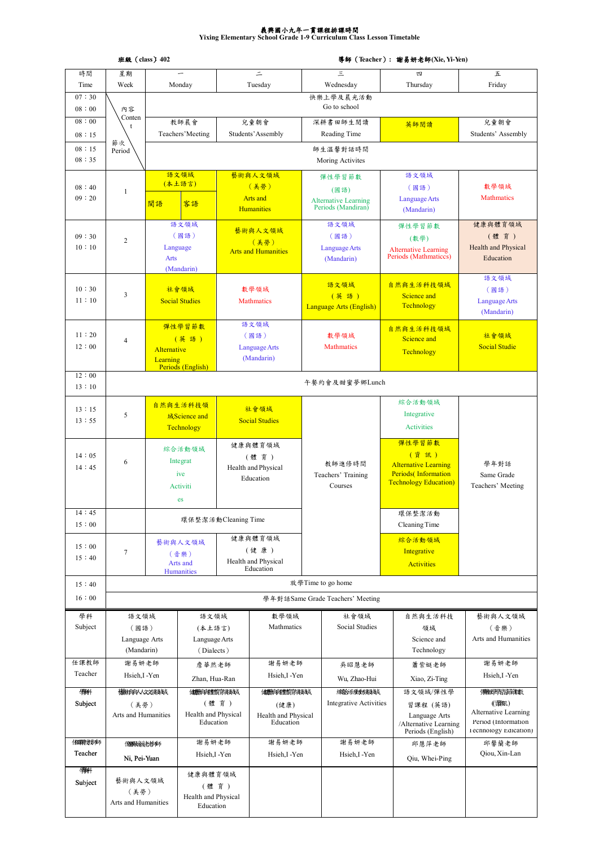## 義興國小九年一貫課程排課時間 **Yixing Elementary School Grade 1-9 Curriculum Class Lesson Timetable**

|                 | 班級 (class) 402              |                           |                               |                             | 導師 (Teacher) : 謝易妍老師(Xie, Yi-Yen)        |          |                                                   |                                                             |                                               |  |  |  |  |
|-----------------|-----------------------------|---------------------------|-------------------------------|-----------------------------|------------------------------------------|----------|---------------------------------------------------|-------------------------------------------------------------|-----------------------------------------------|--|--|--|--|
| 時間              | 星期                          |                           |                               |                             | $\equiv$                                 |          | Ξ                                                 | 四                                                           | 五                                             |  |  |  |  |
| Time            | Week                        |                           | Monday                        |                             | Tuesday                                  |          | Wednesday                                         | Thursday                                                    | Friday                                        |  |  |  |  |
| 07:30<br>08:00  | 內容                          | 快樂上學及晨光活動<br>Go to school |                               |                             |                                          |          |                                                   |                                                             |                                               |  |  |  |  |
| 08:00           | Conten                      |                           | 教師晨會<br>兒童朝會                  |                             |                                          |          |                                                   |                                                             |                                               |  |  |  |  |
| 08:15           | t                           |                           | Teachers' Meeting             |                             | Students' Assembly                       |          | 深耕書田師生閲讀<br>Reading Time                          | 英師閲讀                                                        | 兒童朝會<br>Students' Assembly                    |  |  |  |  |
|                 | 節次                          |                           |                               |                             |                                          |          |                                                   |                                                             |                                               |  |  |  |  |
| 08:15<br>08:35  | Period                      |                           |                               |                             |                                          |          | 師生溫馨對話時間<br>Moring Activites                      |                                                             |                                               |  |  |  |  |
|                 |                             |                           | 語文領域<br>(本土語言)                |                             | 藝術與人文領域                                  |          | 彈性學習節數                                            | 語文領域                                                        |                                               |  |  |  |  |
| 08:40<br>09:20  | $\mathbf{1}$                |                           |                               |                             | (美勞)<br><b>Arts</b> and                  |          | (國語)                                              | (國語)                                                        | 數學領域<br><b>Mathmatics</b>                     |  |  |  |  |
|                 |                             | 閩語                        | 客語                            |                             | <b>Humanities</b>                        |          | <b>Alternative Learning</b><br>Periods (Mandiran) | Language Arts<br>(Mandarin)                                 |                                               |  |  |  |  |
|                 |                             |                           | 語文領域                          |                             |                                          |          | 語文領域                                              | 彈性學習節數                                                      | 健康與體育領域                                       |  |  |  |  |
| 09:30           | $\overline{c}$              |                           | (國語)                          |                             | 藝術與人文領域                                  |          | (國語)                                              | (數學)                                                        | (體育)                                          |  |  |  |  |
| 10:10           |                             |                           | Language                      |                             | (美勞)<br><b>Arts and Humanities</b>       |          | Language Arts                                     | <b>Alternative Learning</b>                                 | Health and Physical                           |  |  |  |  |
|                 |                             | <b>Arts</b>               |                               |                             |                                          |          | (Mandarin)                                        | Periods (Mathmaticcs)                                       | Education                                     |  |  |  |  |
|                 |                             |                           | (Mandarin)                    |                             |                                          |          |                                                   |                                                             | 語文領域                                          |  |  |  |  |
| 10:30           |                             |                           | 社會領域                          |                             | 數學領域                                     |          | 語文領域                                              | 自然與生活科技領域                                                   | (國語)                                          |  |  |  |  |
| 11:10           | 3                           |                           | <b>Social Studies</b>         |                             | <b>Mathmatics</b>                        |          | (英語)                                              | Science and<br>Technology                                   | Language Arts                                 |  |  |  |  |
|                 |                             |                           |                               |                             |                                          |          | Language Arts (English)                           |                                                             | (Mandarin)                                    |  |  |  |  |
|                 |                             |                           | 彈性學習節數                        | 語文領域                        |                                          |          |                                                   | 自然與生活科技領域                                                   |                                               |  |  |  |  |
| 11:20           | $\overline{4}$              |                           | (英語)                          |                             | (國語)                                     |          | 數學領域                                              | Science and                                                 | 社會領域                                          |  |  |  |  |
| 12:00           |                             | Alternative               |                               |                             | <b>Language Arts</b><br>(Mandarin)       |          | <b>Mathmatics</b>                                 | Technology                                                  | <b>Social Studie</b>                          |  |  |  |  |
|                 |                             | Learning                  | Periods (English)             |                             |                                          |          |                                                   |                                                             |                                               |  |  |  |  |
| 12:00           |                             | 午餐約會及甜蜜夢鄉Lunch            |                               |                             |                                          |          |                                                   |                                                             |                                               |  |  |  |  |
| 13:10           |                             |                           |                               |                             |                                          |          |                                                   | 綜合活動領域                                                      |                                               |  |  |  |  |
| 13:15           | 5                           |                           | 自然與生活科技領<br>域Science and      |                             | 社會領域                                     |          |                                                   | Integrative                                                 |                                               |  |  |  |  |
| 13:55           |                             |                           | Technology                    |                             | <b>Social Studies</b>                    |          |                                                   | Activities                                                  |                                               |  |  |  |  |
|                 |                             |                           |                               |                             |                                          |          |                                                   | 彈性學習節數                                                      |                                               |  |  |  |  |
| 14:05           |                             | 綜合活動領域                    |                               | 健康與體育領域                     |                                          |          |                                                   | (資訊)                                                        | 學年對話                                          |  |  |  |  |
| 14:45           | 6                           |                           | Integrat                      | (體育)<br>Health and Physical |                                          | 教師進修時間   |                                                   | <b>Alternative Learning</b>                                 |                                               |  |  |  |  |
|                 |                             |                           | ive                           |                             | Education                                |          | Teachers' Training                                | <b>Periods</b> (Information<br><b>Technology Education)</b> | Same Grade                                    |  |  |  |  |
|                 |                             |                           | Activiti                      |                             |                                          |          | Courses                                           |                                                             | Teachers' Meeting                             |  |  |  |  |
|                 |                             |                           | es                            |                             |                                          |          |                                                   |                                                             |                                               |  |  |  |  |
| 14:45           |                             |                           | 環保整潔活動Cleaning Time           |                             |                                          |          |                                                   | 環保整潔活動                                                      |                                               |  |  |  |  |
| 15:00           |                             |                           |                               |                             |                                          |          |                                                   | Cleaning Time                                               |                                               |  |  |  |  |
| 15:00           |                             |                           | 藝術與人文領域                       |                             | 健康與體育領域                                  |          |                                                   | 綜合活動領域                                                      |                                               |  |  |  |  |
| 15:40           | 7                           | (音樂)                      |                               |                             | (健康)<br>Health and Physical              |          |                                                   | Integrative                                                 |                                               |  |  |  |  |
|                 |                             |                           | Arts and<br><b>Humanities</b> |                             | Education                                |          |                                                   | <b>Activities</b>                                           |                                               |  |  |  |  |
| 15:40           |                             |                           |                               |                             |                                          |          | 放學Time to go home                                 |                                                             |                                               |  |  |  |  |
| 16:00           |                             |                           |                               |                             |                                          |          | 學年對話Same Grade Teachers' Meeting                  |                                                             |                                               |  |  |  |  |
| 學科              |                             | 語文領域                      |                               | 語文領域                        | 數學領域                                     |          | 社會領域                                              | 自然與生活科技                                                     | 藝術與人文領域                                       |  |  |  |  |
| Subject         | (國語)                        |                           | (本土語言)                        |                             | Mathmatics                               |          | Social Studies                                    | 領域                                                          | (音樂)                                          |  |  |  |  |
|                 | Language Arts               | Language Arts             |                               |                             |                                          |          |                                                   | Science and                                                 | Arts and Humanities                           |  |  |  |  |
|                 | (Mandarin)                  |                           | (Dialects)                    |                             |                                          |          |                                                   | Technology                                                  |                                               |  |  |  |  |
| 任課教師<br>Teacher | 謝易妍老師                       |                           | 詹華然老師                         |                             | 謝易妍老師                                    |          | 吳昭慧老師                                             | 蕭紫娗老師                                                       | 謝易妍老師                                         |  |  |  |  |
|                 | Hsieh, I-Yen                |                           | Zhan, Hua-Ran                 |                             | Hsieh, I-Yen                             |          | Wu, Zhao-Hui<br><b>綿絡活動機関域</b>                    | Xiao, Zi-Ting                                               | Hsieh, I-Yen                                  |  |  |  |  |
| 樂科              |                             | <b>热静积人文演绎域</b>           |                               | 健康转档指除颜料式                   |                                          | 健康转储能解释技 |                                                   | 語文領域/彈性學                                                    | <b>彈性學習節機數</b>                                |  |  |  |  |
| Subject         | (美勞)<br>Arts and Humanities |                           | (體育)<br>Health and Physical   |                             | (健康)<br>Health and Physical<br>Education |          | <b>Integrative Activities</b>                     | 習課程 (英語)                                                    | (資訊)<br>Alternative Learning                  |  |  |  |  |
|                 |                             |                           | Education                     |                             |                                          |          |                                                   | Language Arts<br>/Alternative Learning                      | Period (Information<br>I ecnnology Edication) |  |  |  |  |
| 住螺转线和           | <b>《糖眼缓传老梅</b> 师            |                           | 謝易妍老師                         |                             | 謝易妍老師                                    |          | 謝易妍老師                                             | Periods (English)<br>邱慧萍老師                                  | 邱馨蘭老師                                         |  |  |  |  |
| Teacher         | Ni, Pei-Yuan                |                           | Hsieh, I-Yen                  |                             | Hsieh, I-Yen                             |          | Hsieh, I-Yen                                      |                                                             | Qiou, Xin-Lan                                 |  |  |  |  |
| 樂               |                             |                           |                               |                             |                                          |          |                                                   | Qiu, Whei-Ping                                              |                                               |  |  |  |  |
| Subject         | 藝術與人文領域                     |                           | 健康與體育領域                       |                             |                                          |          |                                                   |                                                             |                                               |  |  |  |  |
|                 | (美勞)                        |                           | (體育)<br>Health and Physical   |                             |                                          |          |                                                   |                                                             |                                               |  |  |  |  |
|                 | Arts and Humanities         |                           | Education                     |                             |                                          |          |                                                   |                                                             |                                               |  |  |  |  |